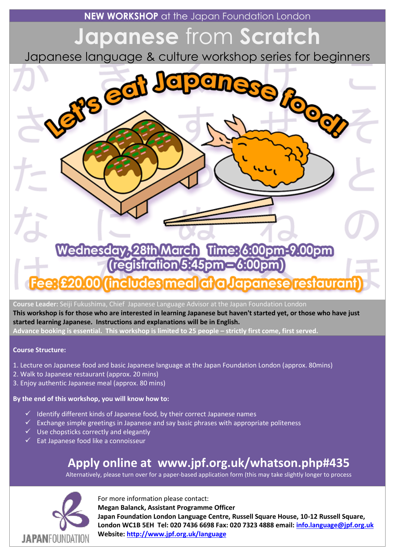**NEW WORKSHOP** at the Japan Foundation London

# **Japanese** from **Scratch**

Japanese language & culture workshop series for beginners



**Course Leader:** Seiji Fukushima, Chief Japanese Language Advisor at the Japan Foundation London

**This workshop is for those who are interested in learning Japanese but haven't started yet, or those who have just started learning Japanese. Instructions and explanations will be in English.**

**Advance booking is essential. This workshop is limited to 25 people – strictly first come, first served.**

#### **Course Structure:**

- 1. Lecture on Japanese food and basic Japanese language at the Japan Foundation London (approx. 80mins)
- 2. Walk to Japanese restaurant (approx. 20 mins)
- 3. Enjoy authentic Japanese meal (approx. 80 mins)

#### **By the end of this workshop, you will know how to:**

- $\checkmark$  Identify different kinds of Japanese food, by their correct Japanese names
- $\checkmark$  Exchange simple greetings in Japanese and say basic phrases with appropriate politeness
- $\checkmark$  Use chopsticks correctly and elegantly
- $\checkmark$  Eat Japanese food like a connoisseur

## **Apply online at www.jpf.org.uk/whatson.php#435**

Alternatively, please turn over for a paper-based application form (this may take slightly longer to process



For more information please contact:

**Megan Balanck, Assistant Programme Officer**

**Japan Foundation London Language Centre, Russell Square House, 10-12 Russell Square, London WC1B 5EH Tel: 020 7436 6698 Fax: 020 7323 4888 email: [info.language@jpf.org.uk](mailto:info.language@jpf.org.uk)  Website[: http://www.jpf.org.uk/language](http://www.jpf.org.uk/language)**